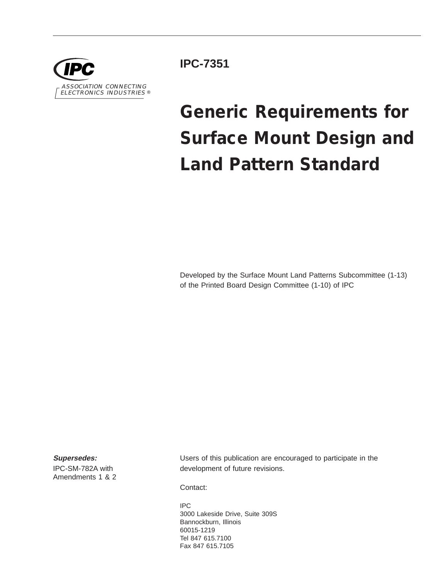

**IPC-7351**

# **Generic Requirements for Surface Mount Design and Land Pattern Standard**

Developed by the Surface Mount Land Patterns Subcommittee (1-13) of the Printed Board Design Committee (1-10) of IPC

**Supersedes:**

IPC-SM-782A with Amendments1&2 Users of this publication are encouraged to participate in the development of future revisions.

Contact:

IPC 3000 Lakeside Drive, Suite 309S Bannockburn, Illinois 60015-1219 Tel 847 615.7100 Fax 847 615.7105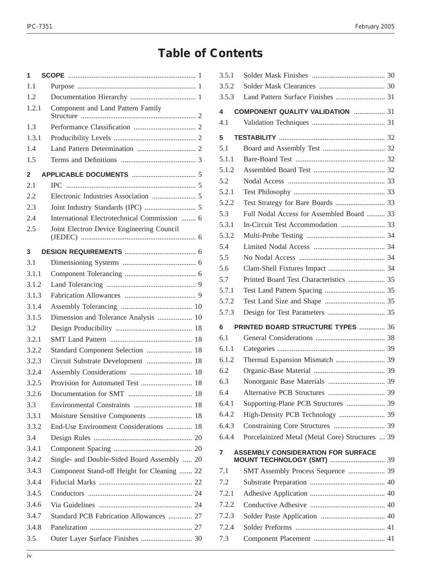## **Table of Contents**

| 1     |                                              |
|-------|----------------------------------------------|
| 1.1   |                                              |
| 1.2   |                                              |
| 1.2.1 | Component and Land Pattern Family            |
| 1.3   |                                              |
| 1.3.1 |                                              |
| 1.4   |                                              |
| 1.5   |                                              |
| 2     |                                              |
| 2.1   |                                              |
| 2.2   |                                              |
| 2.3   |                                              |
| 2.4   | International Electrotechnical Commission  6 |
| 2.5   | Joint Electron Device Engineering Council    |
| 3     |                                              |
| 3.1   |                                              |
| 3.1.1 |                                              |
| 3.1.2 |                                              |
| 3.1.3 |                                              |
| 3.1.4 |                                              |
| 3.1.5 | Dimension and Tolerance Analysis  10         |
| 3.2   |                                              |
| 3.2.1 |                                              |
| 3.2.2 | Standard Component Selection  18             |
| 3.2.3 | Circuit Substrate Development  18            |
| 3.2.4 |                                              |
| 3.2.5 |                                              |
| 3.2.6 |                                              |
| 3.3   |                                              |
| 3.3.1 | Moisture Sensitive Components  18            |
| 3.3.2 | End-Use Environment Considerations  18       |
| 3.4   |                                              |
| 3.4.1 |                                              |
| 3.4.2 | Single- and Double-Sided Board Assembly  20  |
| 3.4.3 | Component Stand-off Height for Cleaning  22  |
| 3.4.4 |                                              |
| 3.4.5 |                                              |
| 3.4.6 |                                              |
| 3.4.7 | Standard PCB Fabrication Allowances  27      |
| 3.4.8 |                                              |
| 3.5   |                                              |
|       |                                              |

| 3.5.1        |                                                                                |  |
|--------------|--------------------------------------------------------------------------------|--|
| 3.5.2        |                                                                                |  |
| 3.5.3        |                                                                                |  |
| 4            | <b>COMPONENT QUALITY VALIDATION  31</b>                                        |  |
| 4.1          |                                                                                |  |
| 5            |                                                                                |  |
| 5.1          |                                                                                |  |
| 5.1.1        |                                                                                |  |
| 5.1.2        |                                                                                |  |
| 5.2          |                                                                                |  |
| 5.2.1        |                                                                                |  |
| 5.2.2        |                                                                                |  |
| 5.3          | Full Nodal Access for Assembled Board  33                                      |  |
| 5.3.1        |                                                                                |  |
| 5.3.2        |                                                                                |  |
| 5.4          |                                                                                |  |
| 5.5          |                                                                                |  |
| 5.6          |                                                                                |  |
| 5.7          | Printed Board Test Characteristics  35                                         |  |
| 5.7.1        |                                                                                |  |
| 5.7.2        |                                                                                |  |
| 5.7.3        |                                                                                |  |
| 6            | PRINTED BOARD STRUCTURE TYPES  36                                              |  |
| 6.1          |                                                                                |  |
| 6.1.1        |                                                                                |  |
| 6.1.2        |                                                                                |  |
| 6.2          |                                                                                |  |
| 6.3          |                                                                                |  |
| 6.4          |                                                                                |  |
| 6.4.1        | Supporting-Plane PCB Structures  39                                            |  |
| 6.4.2        | High-Density PCB Technology  39                                                |  |
| 6.4.3        |                                                                                |  |
| 6.4.4        | Porcelainized Metal (Metal Core) Structures  39                                |  |
| 7            | <b>ASSEMBLY CONSIDERATION FOR SURFACE</b><br><b>MOUNT TECHNOLOGY (SMT)  39</b> |  |
|              |                                                                                |  |
|              |                                                                                |  |
| 7.1          | SMT Assembly Process Sequence  39                                              |  |
| 7.2          |                                                                                |  |
| 7.2.1        |                                                                                |  |
| 7.2.2        |                                                                                |  |
| 7.2.3        |                                                                                |  |
| 7.2.4<br>7.3 |                                                                                |  |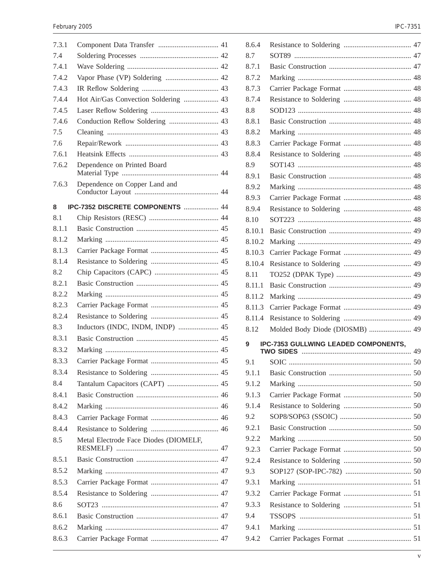| 7.3.1          |                                       |
|----------------|---------------------------------------|
| 7.4            |                                       |
| 7.4.1          |                                       |
| 7.4.2          | Vapor Phase (VP) Soldering  42        |
| 7.4.3          |                                       |
| 7.4.4          | Hot Air/Gas Convection Soldering  43  |
| 7.4.5          |                                       |
| 7.4.6          | Conduction Reflow Soldering  43       |
| 7.5            |                                       |
| 7.6            |                                       |
| 7.6.1          |                                       |
| 7.6.2          | Dependence on Printed Board           |
| 7.6.3          | Dependence on Copper Land and         |
| 8              | IPC-7352 DISCRETE COMPONENTS  44      |
| 8 <sub>1</sub> |                                       |
| 8.1.1          |                                       |
| 8.1.2          |                                       |
| 8.1.3          |                                       |
| 8.1.4          |                                       |
| 8.2            |                                       |
| 8.2.1          |                                       |
| 8.2.2          |                                       |
| 8.2.3          |                                       |
| 8.2.4          |                                       |
| 8.3            | Inductors (INDC, INDM, INDP)  45      |
| 8.3.1          |                                       |
| 8.3.2          |                                       |
| 8.3.3          |                                       |
| 8.3.4          |                                       |
| 8.4            | Tantalum Capacitors (CAPT)  45        |
| 8.4.1          |                                       |
| 8.4.2          |                                       |
| 8.4.3          |                                       |
| 8.4.4          |                                       |
| 8.5            | Metal Electrode Face Diodes (DIOMELF, |
|                |                                       |
| 8.5.1          |                                       |
| 8.5.2          |                                       |
| 8.5.3          |                                       |
| 8.5.4          |                                       |
| 8.6            |                                       |
| 8.6.1          |                                       |
| 8.6.2          |                                       |
| 8.6.3          |                                       |

| 8.6.4  |                                             |  |
|--------|---------------------------------------------|--|
| 8.7    |                                             |  |
| 8.7.1  |                                             |  |
| 8.7.2  |                                             |  |
| 8.7.3  |                                             |  |
| 8.7.4  |                                             |  |
| 8.8    |                                             |  |
| 8.8.1  |                                             |  |
| 8.8.2  |                                             |  |
| 8.8.3  |                                             |  |
| 8.8.4  |                                             |  |
| 8.9    |                                             |  |
| 8.9.1  |                                             |  |
| 8.9.2  |                                             |  |
| 8.9.3  |                                             |  |
| 8.9.4  |                                             |  |
| 8.10   |                                             |  |
| 8.10.1 |                                             |  |
| 8.10.2 |                                             |  |
| 8.10.3 |                                             |  |
| 8.10.4 |                                             |  |
| 8.11   |                                             |  |
| 8.11.1 |                                             |  |
| 8.11.2 |                                             |  |
| 8.11.3 |                                             |  |
| 8.11.4 |                                             |  |
| 8.12   | Molded Body Diode (DIOSMB)  49              |  |
| 9      | <b>IPC-7353 GULLWING LEADED COMPONENTS,</b> |  |
|        |                                             |  |
| 9.1    |                                             |  |
| 9.1.1  |                                             |  |
| 9.1.2  |                                             |  |
| 9.1.3  |                                             |  |
|        |                                             |  |
| 9.1.4  |                                             |  |
| 9.2    |                                             |  |
| 9.2.1  |                                             |  |
| 9.2.2  |                                             |  |
| 9.2.3  |                                             |  |
| 9.2.4  |                                             |  |
| 9.3    |                                             |  |
| 9.3.1  |                                             |  |
| 9.3.2  |                                             |  |
| 9.3.3  |                                             |  |
| 9.4    |                                             |  |
| 9.4.1  |                                             |  |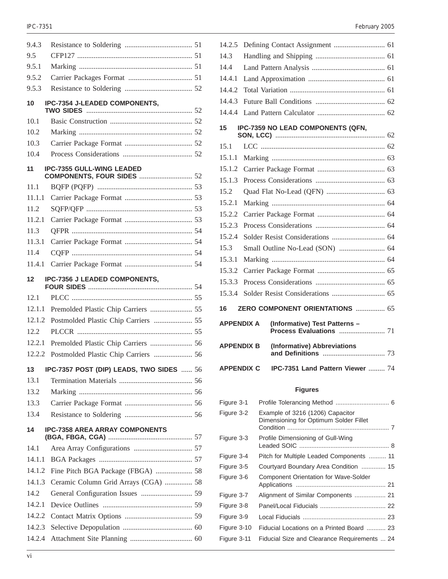| 9.4.3            |                                          |  |
|------------------|------------------------------------------|--|
| 9.5              |                                          |  |
| 9.5.1            |                                          |  |
| 9.5.2            |                                          |  |
| 9.5.3            |                                          |  |
| 10               | IPC-7354 J-LEADED COMPONENTS,            |  |
| 10.1             |                                          |  |
| 10.2             |                                          |  |
| 10.3             |                                          |  |
| 10.4             |                                          |  |
| 11               | <b>IPC-7355 GULL-WING LEADED</b>         |  |
| 11.1             |                                          |  |
| 11.1.1           |                                          |  |
| 11.2.            |                                          |  |
| 11.2.1           |                                          |  |
| 11.3             |                                          |  |
| 11.3.1           |                                          |  |
| 11.4             |                                          |  |
| 11.4.1           |                                          |  |
| 12               | <b>IPC-7356 J LEADED COMPONENTS,</b>     |  |
|                  |                                          |  |
| 12.1             |                                          |  |
| 12.1.1           | Premolded Plastic Chip Carriers  55      |  |
| 12.1.2           | Postmolded Plastic Chip Carriers  55     |  |
| 12.2             |                                          |  |
| 12.2.1           | Premolded Plastic Chip Carriers  56      |  |
| 12.2.2           | Postmolded Plastic Chip Carriers  56     |  |
| 13               |                                          |  |
| 13.1             | IPC-7357 POST (DIP) LEADS, TWO SIDES  56 |  |
| 13.2             |                                          |  |
| 13.3             |                                          |  |
| 13.4             |                                          |  |
| 14               | <b>IPC-7358 AREA ARRAY COMPONENTS</b>    |  |
| 14.1             |                                          |  |
| 14.1.1           |                                          |  |
| 14.1.2           |                                          |  |
|                  |                                          |  |
| 14.1.3<br>14.2   | Ceramic Column Grid Arrays (CGA)  58     |  |
| 14.2.1           |                                          |  |
|                  |                                          |  |
| 14.2.2           |                                          |  |
| 14.2.3<br>14.2.4 |                                          |  |

#### IPC-7351 February 2005

| 14.2.5            |                                                          |  |
|-------------------|----------------------------------------------------------|--|
| 14.3              |                                                          |  |
| 14.4              |                                                          |  |
| 14.4.1            |                                                          |  |
| 14.4.2            |                                                          |  |
| 14.4.3            |                                                          |  |
| 14.4.4            |                                                          |  |
| 15                | IPC-7359 NO LEAD COMPONENTS (QFN,                        |  |
| 15.1              |                                                          |  |
| 15.1.1            |                                                          |  |
| 15.1.2            |                                                          |  |
| 15.1.3            |                                                          |  |
| 15.2              |                                                          |  |
| 15.2.1            |                                                          |  |
| 15.2.2            |                                                          |  |
| 15.2.3            |                                                          |  |
| 15.2.4            |                                                          |  |
| 15.3              |                                                          |  |
| 15.3.1            |                                                          |  |
| 15.3.2            |                                                          |  |
| 15.3.3            |                                                          |  |
| 15.3.4            |                                                          |  |
| 16                | ZERO COMPONENT ORIENTATIONS  65                          |  |
| <b>APPENDIX A</b> | (Informative) Test Patterns -<br>Process Evaluations  71 |  |
| <b>APPENDIX B</b> | (Informative) Abbreviations                              |  |
| <b>APPENDIX C</b> | IPC-7351 Land Pattern Viewer  74                         |  |

#### **Figures**

| Figure 3-1  |                                                                            |
|-------------|----------------------------------------------------------------------------|
| Figure 3-2  | Example of 3216 (1206) Capacitor<br>Dimensioning for Optimum Solder Fillet |
| Figure 3-3  | Profile Dimensioning of Gull-Wing                                          |
| Figure 3-4  | Pitch for Multiple Leaded Components  11                                   |
| Figure 3-5  | Courtyard Boundary Area Condition  15                                      |
| Figure 3-6  | <b>Component Orientation for Wave-Solder</b>                               |
| Figure 3-7  |                                                                            |
| Figure 3-8  |                                                                            |
| Figure 3-9  |                                                                            |
| Figure 3-10 | Fiducial Locations on a Printed Board  23                                  |
| Figure 3-11 | Fiducial Size and Clearance Requirements  24                               |
|             |                                                                            |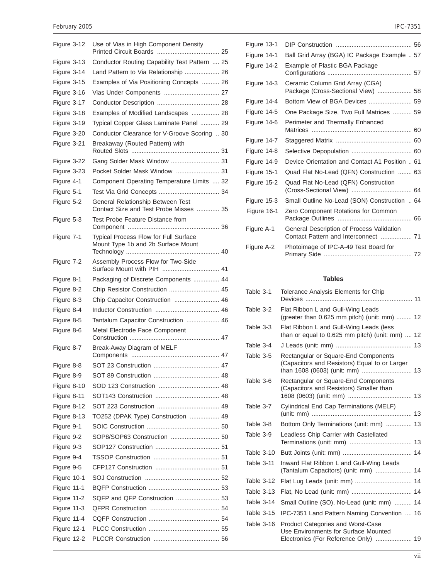| February 2005 | <b>IPC-7351</b> |
|---------------|-----------------|
|               |                 |

| Figure 3-12 | Use of Vias in High Component Density                                       |  |
|-------------|-----------------------------------------------------------------------------|--|
| Figure 3-13 | Conductor Routing Capability Test Pattern  25                               |  |
| Figure 3-14 | Land Pattern to Via Relationship  26                                        |  |
| Figure 3-15 | Examples of Via Positioning Concepts  26                                    |  |
| Figure 3-16 | Vias Under Components  27                                                   |  |
| Figure 3-17 |                                                                             |  |
| Figure 3-18 | Examples of Modified Landscapes  28                                         |  |
| Figure 3-19 | Typical Copper Glass Laminate Panel  29                                     |  |
| Figure 3-20 | Conductor Clearance for V-Groove Scoring  30                                |  |
| Figure 3-21 | Breakaway (Routed Pattern) with                                             |  |
| Figure 3-22 | Gang Solder Mask Window  31                                                 |  |
| Figure 3-23 | Pocket Solder Mask Window  31                                               |  |
| Figure 4-1  | Component Operating Temperature Limits  32                                  |  |
| Figure 5-1  |                                                                             |  |
| Figure 5-2  | General Relationship Between Test<br>Contact Size and Test Probe Misses  35 |  |
| Figure 5-3  | Test Probe Feature Distance from                                            |  |
| Figure 7-1  | Typical Process Flow for Full Surface<br>Mount Type 1b and 2b Surface Mount |  |
| Figure 7-2  | Assembly Process Flow for Two-Side                                          |  |
| Figure 8-1  | Packaging of Discrete Components  44                                        |  |
| Figure 8-2  | Chip Resistor Construction  45                                              |  |
| Figure 8-3  | Chip Capacitor Construction  46                                             |  |
| Figure 8-4  |                                                                             |  |
| Figure 8-5  | Tantalum Capacitor Construction  46                                         |  |
| Figure 8-6  | Metal Electrode Face Component                                              |  |
| Figure 8-7  | Break-Away Diagram of MELF                                                  |  |
| Figure 8-8  |                                                                             |  |
| Figure 8-9  |                                                                             |  |
| Figure 8-10 |                                                                             |  |
| Figure 8-11 |                                                                             |  |
| Figure 8-12 |                                                                             |  |
| Figure 8-13 | TO252 (DPAK Type) Construction  49                                          |  |
| Figure 9-1  |                                                                             |  |
| Figure 9-2  | SOP8/SOP63 Construction  50                                                 |  |
| Figure 9-3  |                                                                             |  |
| Figure 9-4  |                                                                             |  |
| Figure 9-5  |                                                                             |  |
| Figure 10-1 |                                                                             |  |
| Figure 11-1 |                                                                             |  |
| Figure 11-2 | SQFP and QFP Construction  53                                               |  |
| Figure 11-3 |                                                                             |  |
| Figure 11-4 |                                                                             |  |
| Figure 12-1 |                                                                             |  |
| Figure 12-2 |                                                                             |  |
|             |                                                                             |  |

| Figure 13-1 |                                                                       |
|-------------|-----------------------------------------------------------------------|
| Figure 14-1 | Ball Grid Array (BGA) IC Package Example  57                          |
| Figure 14-2 | Example of Plastic BGA Package                                        |
| Figure 14-3 | Ceramic Column Grid Array (CGA)<br>Package (Cross-Sectional View)  58 |
| Figure 14-4 |                                                                       |
| Figure 14-5 | One Package Size, Two Full Matrices  59                               |
| Figure 14-6 | Perimeter and Thermally Enhanced                                      |
| Figure 14-7 |                                                                       |
| Figure 14-8 |                                                                       |
| Figure 14-9 | Device Orientation and Contact A1 Position  61                        |
| Figure 15-1 | Quad Flat No-Lead (QFN) Construction  63                              |
| Figure 15-2 | Quad Flat No-Lead (QFN) Construction                                  |
| Figure 15-3 | Small Outline No-Lead (SON) Construction  64                          |
| Figure 16-1 | Zero Component Rotations for Common                                   |
| Figure A-1  | General Description of Process Validation                             |
| Figure A-2  | Photoimage of IPC-A-49 Test Board for                                 |

#### **Tables**

| Table 3-1  | Tolerance Analysis Elements for Chip                                                                                     |  |
|------------|--------------------------------------------------------------------------------------------------------------------------|--|
| Table 3-2  | Flat Ribbon L and Gull-Wing Leads<br>(greater than 0.625 mm pitch) (unit: mm)  12                                        |  |
| Table 3-3  | Flat Ribbon L and Gull-Wing Leads (less<br>than or equal to 0.625 mm pitch) (unit: mm)  12                               |  |
| Table 3-4  |                                                                                                                          |  |
| Table 3-5  | Rectangular or Square-End Components<br>(Capacitors and Resistors) Equal to or Larger                                    |  |
| Table 3-6  | Rectangular or Square-End Components<br>(Capacitors and Resistors) Smaller than                                          |  |
| Table 3-7  | Cylindrical End Cap Terminations (MELF)                                                                                  |  |
| Table 3-8  | Bottom Only Terminations (unit: mm)  13                                                                                  |  |
| Table 3-9  | Leadless Chip Carrier with Castellated                                                                                   |  |
| Table 3-10 |                                                                                                                          |  |
| Table 3-11 | Inward Flat Ribbon L and Gull-Wing Leads<br>(Tantalum Capacitors) (unit: mm)  14                                         |  |
| Table 3-12 |                                                                                                                          |  |
| Table 3-13 |                                                                                                                          |  |
| Table 3-14 | Small Outline (SO), No-Lead (unit: mm)  14                                                                               |  |
| Table 3-15 | IPC-7351 Land Pattern Naming Convention  16                                                                              |  |
| Table 3-16 | <b>Product Categories and Worst-Case</b><br>Use Environments for Surface Mounted<br>Electronics (For Reference Only)  19 |  |
|            |                                                                                                                          |  |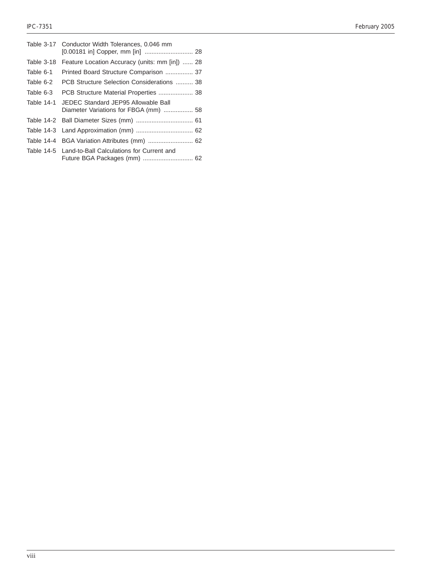|            | Table 3-17 Conductor Width Tolerances, 0.046 mm                              |
|------------|------------------------------------------------------------------------------|
| Table 3-18 | Feature Location Accuracy (units: mm [in])  28                               |
| Table 6-1  | Printed Board Structure Comparison  37                                       |
| Table 6-2  | PCB Structure Selection Considerations  38                                   |
| Table 6-3  | PCB Structure Material Properties  38                                        |
| Table 14-1 | JEDEC Standard JEP95 Allowable Ball<br>Diameter Variations for FBGA (mm)  58 |
|            |                                                                              |
|            |                                                                              |
|            | Table 14-4 BGA Variation Attributes (mm)  62                                 |
|            | Table 14-5 Land-to-Ball Calculations for Current and                         |